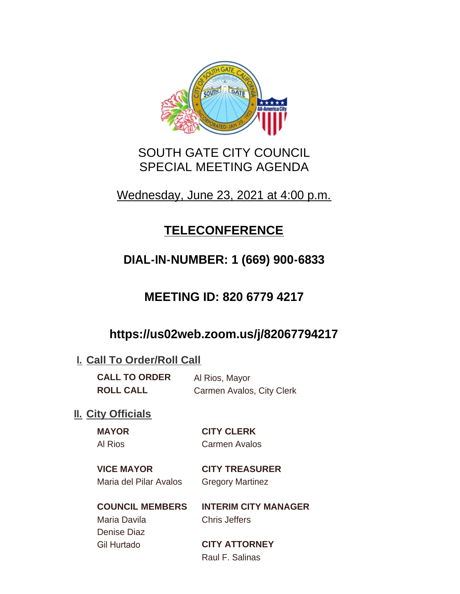

### SOUTH GATE CITY COUNCIL SPECIAL MEETING AGENDA

## Wednesday, June 23, 2021 at 4:00 p.m.

# **TELECONFERENCE**

# **DIAL-IN-NUMBER: 1 (669) 900-6833**

## **MEETING ID: 820 6779 4217**

## **https://us02web.zoom.us/j/82067794217**

### **I. Call To Order/Roll Call**

**CALL TO ORDER** Al Rios, Mayor **ROLL CALL** Carmen Avalos, City Clerk

### **II.** City Officials

**MAYOR CITY CLERK**

Al Rios Carmen Avalos

**VICE MAYOR CITY TREASURER** Maria del Pilar Avalos Gregory Martinez

# Maria Davila Chris Jeffers Denise Diaz Gil Hurtado **CITY ATTORNEY**

**COUNCIL MEMBERS INTERIM CITY MANAGER**

Raul F. Salinas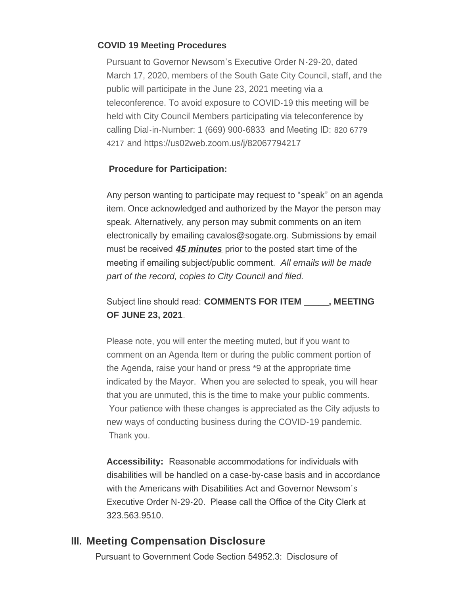#### **COVID 19 Meeting Procedures**

Pursuant to Governor Newsom's Executive Order N-29-20, dated March 17, 2020, members of the South Gate City Council, staff, and the public will participate in the June 23, 2021 meeting via a teleconference. To avoid exposure to COVID-19 this meeting will be held with City Council Members participating via teleconference by calling Dial-in-Number: 1 (669) 900-6833 and Meeting ID: 820 6779 4217 and https://us02web.zoom.us/j/82067794217

#### **Procedure for Participation:**

Any person wanting to participate may request to "speak" on an agenda item. Once acknowledged and authorized by the Mayor the person may speak. Alternatively, any person may submit comments on an item electronically by emailing cavalos@sogate.org. Submissions by email must be received *45 minutes* prior to the posted start time of the meeting if emailing subject/public comment. *All emails will be made part of the record, copies to City Council and filed.*

Subject line should read: **COMMENTS FOR ITEM \_\_\_\_\_, MEETING OF JUNE 23, 2021**.

Please note, you will enter the meeting muted, but if you want to comment on an Agenda Item or during the public comment portion of the Agenda, raise your hand or press \*9 at the appropriate time indicated by the Mayor. When you are selected to speak, you will hear that you are unmuted, this is the time to make your public comments. Your patience with these changes is appreciated as the City adjusts to new ways of conducting business during the COVID-19 pandemic. Thank you.

**Accessibility:** Reasonable accommodations for individuals with disabilities will be handled on a case-by-case basis and in accordance with the Americans with Disabilities Act and Governor Newsom's Executive Order N-29-20. Please call the Office of the City Clerk at 323.563.9510.

#### **Meeting Compensation Disclosure III.**

Pursuant to Government Code Section 54952.3: Disclosure of